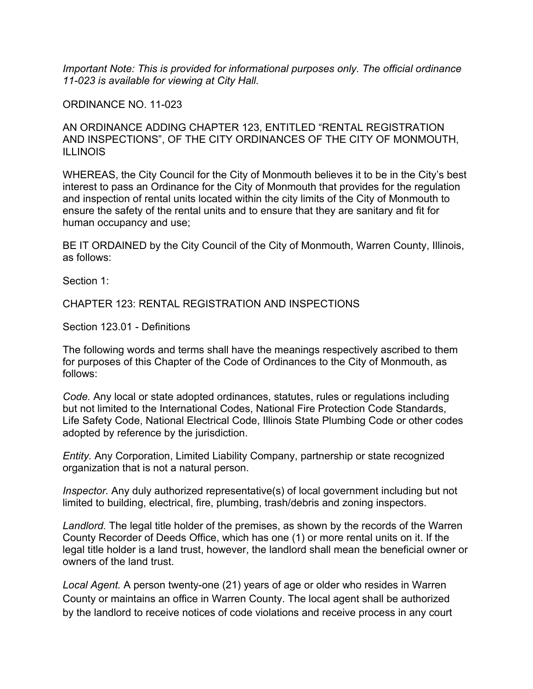*Important Note: This is provided for informational purposes only. The official ordinance 11-023 is available for viewing at City Hall.*

ORDINANCE NO. 11-023

AN ORDINANCE ADDING CHAPTER 123, ENTITLED "RENTAL REGISTRATION AND INSPECTIONS", OF THE CITY ORDINANCES OF THE CITY OF MONMOUTH, ILLINOIS

WHEREAS, the City Council for the City of Monmouth believes it to be in the City's best interest to pass an Ordinance for the City of Monmouth that provides for the regulation and inspection of rental units located within the city limits of the City of Monmouth to ensure the safety of the rental units and to ensure that they are sanitary and fit for human occupancy and use;

BE IT ORDAINED by the City Council of the City of Monmouth, Warren County, Illinois, as follows:

Section 1:

CHAPTER 123: RENTAL REGISTRATION AND INSPECTIONS

Section 123.01 - Definitions

The following words and terms shall have the meanings respectively ascribed to them for purposes of this Chapter of the Code of Ordinances to the City of Monmouth, as follows:

*Code.* Any local or state adopted ordinances, statutes, rules or regulations including but not limited to the International Codes, National Fire Protection Code Standards, Life Safety Code, National Electrical Code, Illinois State Plumbing Code or other codes adopted by reference by the jurisdiction.

*Entity.* Any Corporation, Limited Liability Company, partnership or state recognized organization that is not a natural person.

*Inspector.* Any duly authorized representative(s) of local government including but not limited to building, electrical, fire, plumbing, trash/debris and zoning inspectors.

*Landlord.* The legal title holder of the premises, as shown by the records of the Warren County Recorder of Deeds Office, which has one (1) or more rental units on it. If the legal title holder is a land trust, however, the landlord shall mean the beneficial owner or owners of the land trust.

*Local Agent.* A person twenty-one (21) years of age or older who resides in Warren County or maintains an office in Warren County. The local agent shall be authorized by the landlord to receive notices of code violations and receive process in any court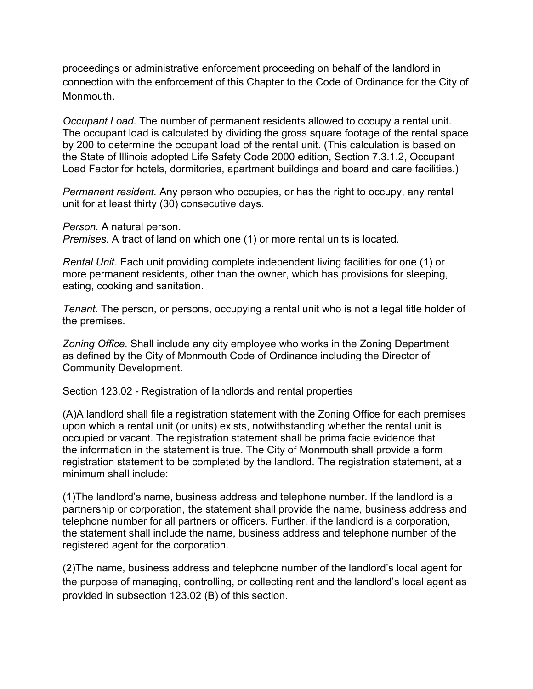proceedings or administrative enforcement proceeding on behalf of the landlord in connection with the enforcement of this Chapter to the Code of Ordinance for the City of Monmouth.

*Occupant Load.* The number of permanent residents allowed to occupy a rental unit. The occupant load is calculated by dividing the gross square footage of the rental space by 200 to determine the occupant load of the rental unit. (This calculation is based on the State of Illinois adopted Life Safety Code 2000 edition, Section 7.3.1.2, Occupant Load Factor for hotels, dormitories, apartment buildings and board and care facilities.)

*Permanent resident.* Any person who occupies, or has the right to occupy, any rental unit for at least thirty (30) consecutive days.

*Person.* A natural person.

*Premises.* A tract of land on which one (1) or more rental units is located.

*Rental Unit.* Each unit providing complete independent living facilities for one (1) or more permanent residents, other than the owner, which has provisions for sleeping, eating, cooking and sanitation.

*Tenant.* The person, or persons, occupying a rental unit who is not a legal title holder of the premises.

*Zoning Office.* Shall include any city employee who works in the Zoning Department as defined by the City of Monmouth Code of Ordinance including the Director of Community Development.

Section 123.02 - Registration of landlords and rental properties

(A)A landlord shall file a registration statement with the Zoning Office for each premises upon which a rental unit (or units) exists, notwithstanding whether the rental unit is occupied or vacant. The registration statement shall be prima facie evidence that the information in the statement is true. The City of Monmouth shall provide a form registration statement to be completed by the landlord. The registration statement, at a minimum shall include:

(1)The landlord's name, business address and telephone number. If the landlord is a partnership or corporation, the statement shall provide the name, business address and telephone number for all partners or officers. Further, if the landlord is a corporation, the statement shall include the name, business address and telephone number of the registered agent for the corporation.

(2)The name, business address and telephone number of the landlord's local agent for the purpose of managing, controlling, or collecting rent and the landlord's local agent as provided in subsection 123.02 (B) of this section.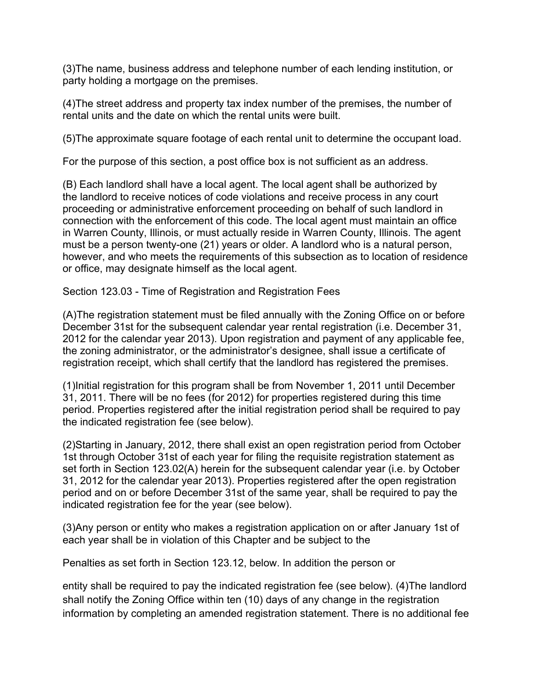(3)The name, business address and telephone number of each lending institution, or party holding a mortgage on the premises.

(4)The street address and property tax index number of the premises, the number of rental units and the date on which the rental units were built.

(5)The approximate square footage of each rental unit to determine the occupant load.

For the purpose of this section, a post office box is not sufficient as an address.

(B) Each landlord shall have a local agent. The local agent shall be authorized by the landlord to receive notices of code violations and receive process in any court proceeding or administrative enforcement proceeding on behalf of such landlord in connection with the enforcement of this code. The local agent must maintain an office in Warren County, Illinois, or must actually reside in Warren County, Illinois. The agent must be a person twenty-one (21) years or older. A landlord who is a natural person, however, and who meets the requirements of this subsection as to location of residence or office, may designate himself as the local agent.

Section 123.03 - Time of Registration and Registration Fees

(A)The registration statement must be filed annually with the Zoning Office on or before December 31st for the subsequent calendar year rental registration (i.e. December 31, 2012 for the calendar year 2013). Upon registration and payment of any applicable fee, the zoning administrator, or the administrator's designee, shall issue a certificate of registration receipt, which shall certify that the landlord has registered the premises.

(1)Initial registration for this program shall be from November 1, 2011 until December 31, 2011. There will be no fees (for 2012) for properties registered during this time period. Properties registered after the initial registration period shall be required to pay the indicated registration fee (see below).

(2)Starting in January, 2012, there shall exist an open registration period from October 1st through October 31st of each year for filing the requisite registration statement as set forth in Section 123.02(A) herein for the subsequent calendar year (i.e. by October 31, 2012 for the calendar year 2013). Properties registered after the open registration period and on or before December 31st of the same year, shall be required to pay the indicated registration fee for the year (see below).

(3)Any person or entity who makes a registration application on or after January 1st of each year shall be in violation of this Chapter and be subject to the

Penalties as set forth in Section 123.12, below. In addition the person or

entity shall be required to pay the indicated registration fee (see below). (4)The landlord shall notify the Zoning Office within ten (10) days of any change in the registration information by completing an amended registration statement. There is no additional fee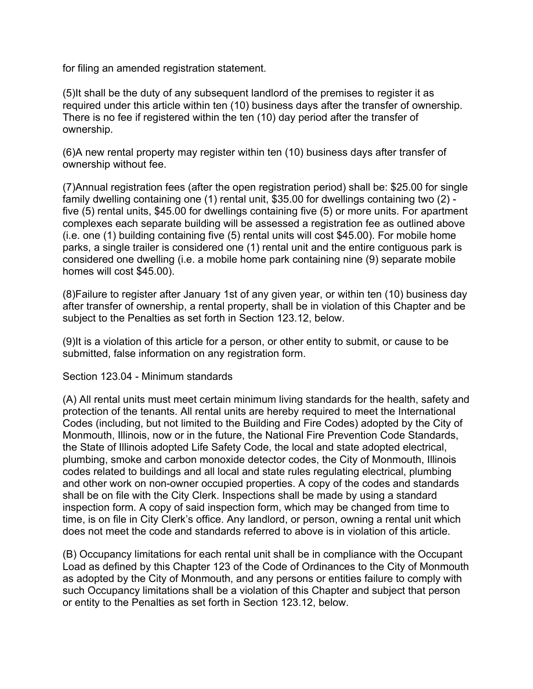for filing an amended registration statement.

(5)It shall be the duty of any subsequent landlord of the premises to register it as required under this article within ten (10) business days after the transfer of ownership. There is no fee if registered within the ten (10) day period after the transfer of ownership.

(6)A new rental property may register within ten (10) business days after transfer of ownership without fee.

(7)Annual registration fees (after the open registration period) shall be: \$25.00 for single family dwelling containing one (1) rental unit, \$35.00 for dwellings containing two (2) five (5) rental units, \$45.00 for dwellings containing five (5) or more units. For apartment complexes each separate building will be assessed a registration fee as outlined above (i.e. one (1) building containing five (5) rental units will cost \$45.00). For mobile home parks, a single trailer is considered one (1) rental unit and the entire contiguous park is considered one dwelling (i.e. a mobile home park containing nine (9) separate mobile homes will cost \$45.00).

(8)Failure to register after January 1st of any given year, or within ten (10) business day after transfer of ownership, a rental property, shall be in violation of this Chapter and be subject to the Penalties as set forth in Section 123.12, below.

(9)It is a violation of this article for a person, or other entity to submit, or cause to be submitted, false information on any registration form.

Section 123.04 - Minimum standards

(A) All rental units must meet certain minimum living standards for the health, safety and protection of the tenants. All rental units are hereby required to meet the International Codes (including, but not limited to the Building and Fire Codes) adopted by the City of Monmouth, Illinois, now or in the future, the National Fire Prevention Code Standards, the State of Illinois adopted Life Safety Code, the local and state adopted electrical, plumbing, smoke and carbon monoxide detector codes, the City of Monmouth, Illinois codes related to buildings and all local and state rules regulating electrical, plumbing and other work on non-owner occupied properties. A copy of the codes and standards shall be on file with the City Clerk. Inspections shall be made by using a standard inspection form. A copy of said inspection form, which may be changed from time to time, is on file in City Clerk's office. Any landlord, or person, owning a rental unit which does not meet the code and standards referred to above is in violation of this article.

(B) Occupancy limitations for each rental unit shall be in compliance with the Occupant Load as defined by this Chapter 123 of the Code of Ordinances to the City of Monmouth as adopted by the City of Monmouth, and any persons or entities failure to comply with such Occupancy limitations shall be a violation of this Chapter and subject that person or entity to the Penalties as set forth in Section 123.12, below.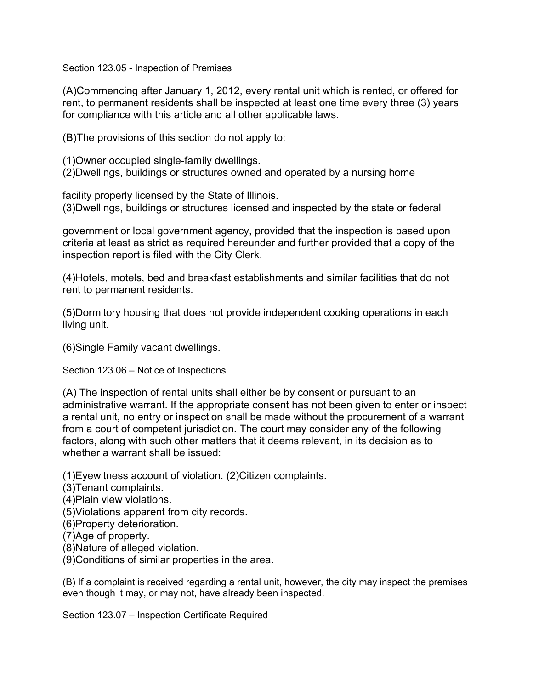Section 123.05 - Inspection of Premises

(A)Commencing after January 1, 2012, every rental unit which is rented, or offered for rent, to permanent residents shall be inspected at least one time every three (3) years for compliance with this article and all other applicable laws.

(B)The provisions of this section do not apply to:

(1)Owner occupied single-family dwellings.

(2)Dwellings, buildings or structures owned and operated by a nursing home

facility properly licensed by the State of Illinois.

(3)Dwellings, buildings or structures licensed and inspected by the state or federal

government or local government agency, provided that the inspection is based upon criteria at least as strict as required hereunder and further provided that a copy of the inspection report is filed with the City Clerk.

(4)Hotels, motels, bed and breakfast establishments and similar facilities that do not rent to permanent residents.

(5)Dormitory housing that does not provide independent cooking operations in each living unit.

(6)Single Family vacant dwellings.

Section 123.06 – Notice of Inspections

(A) The inspection of rental units shall either be by consent or pursuant to an administrative warrant. If the appropriate consent has not been given to enter or inspect a rental unit, no entry or inspection shall be made without the procurement of a warrant from a court of competent jurisdiction. The court may consider any of the following factors, along with such other matters that it deems relevant, in its decision as to whether a warrant shall be issued:

(1)Eyewitness account of violation. (2)Citizen complaints.

(3)Tenant complaints.

(4)Plain view violations.

(5)Violations apparent from city records.

(6)Property deterioration.

(7)Age of property.

(8)Nature of alleged violation.

(9)Conditions of similar properties in the area.

(B) If a complaint is received regarding a rental unit, however, the city may inspect the premises even though it may, or may not, have already been inspected.

Section 123.07 – Inspection Certificate Required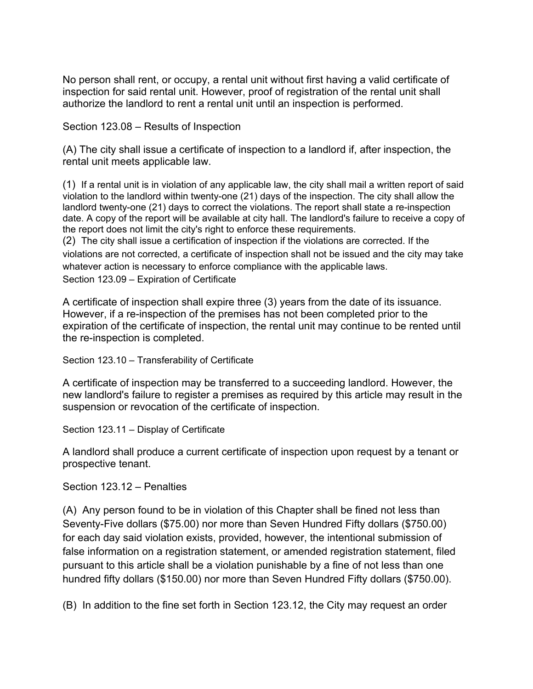No person shall rent, or occupy, a rental unit without first having a valid certificate of inspection for said rental unit. However, proof of registration of the rental unit shall authorize the landlord to rent a rental unit until an inspection is performed.

Section 123.08 – Results of Inspection

(A) The city shall issue a certificate of inspection to a landlord if, after inspection, the rental unit meets applicable law.

(1) If a rental unit is in violation of any applicable law, the city shall mail a written report of said violation to the landlord within twenty-one (21) days of the inspection. The city shall allow the landlord twenty-one (21) days to correct the violations. The report shall state a re-inspection date. A copy of the report will be available at city hall. The landlord's failure to receive a copy of the report does not limit the city's right to enforce these requirements.

(2) The city shall issue a certification of inspection if the violations are corrected. If the violations are not corrected, a certificate of inspection shall not be issued and the city may take whatever action is necessary to enforce compliance with the applicable laws. Section 123.09 – Expiration of Certificate

A certificate of inspection shall expire three (3) years from the date of its issuance. However, if a re-inspection of the premises has not been completed prior to the expiration of the certificate of inspection, the rental unit may continue to be rented until the re-inspection is completed.

Section 123.10 – Transferability of Certificate

A certificate of inspection may be transferred to a succeeding landlord. However, the new landlord's failure to register a premises as required by this article may result in the suspension or revocation of the certificate of inspection.

Section 123.11 – Display of Certificate

A landlord shall produce a current certificate of inspection upon request by a tenant or prospective tenant.

Section 123.12 – Penalties

(A) Any person found to be in violation of this Chapter shall be fined not less than Seventy-Five dollars (\$75.00) nor more than Seven Hundred Fifty dollars (\$750.00) for each day said violation exists, provided, however, the intentional submission of false information on a registration statement, or amended registration statement, filed pursuant to this article shall be a violation punishable by a fine of not less than one hundred fifty dollars (\$150.00) nor more than Seven Hundred Fifty dollars (\$750.00).

(B) In addition to the fine set forth in Section 123.12, the City may request an order